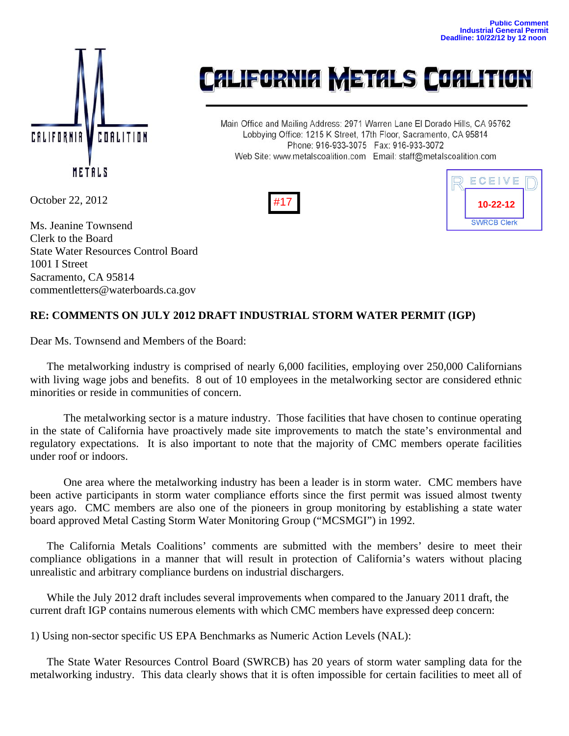

## **CALIFORNIA METALS COALITION**

Main Office and Mailing Address: 2971 Warren Lane El Dorado Hills, CA 95762 Lobbying Office: 1215 K Street, 17th Floor, Sacramento, CA 95814 Phone: 916-933-3075 Fax: 916-933-3072 Web Site: www.metalscoalition.com Email: staff@metalscoalition.com





October 22, 2012

Ms. Jeanine Townsend Clerk to the Board State Water Resources Control Board 1001 I Street Sacramento, CA 95814 commentletters@waterboards.ca.gov

## **RE: COMMENTS ON JULY 2012 DRAFT INDUSTRIAL STORM WATER PERMIT (IGP)**

Dear Ms. Townsend and Members of the Board:

 The metalworking industry is comprised of nearly 6,000 facilities, employing over 250,000 Californians with living wage jobs and benefits. 8 out of 10 employees in the metalworking sector are considered ethnic minorities or reside in communities of concern.

The metalworking sector is a mature industry. Those facilities that have chosen to continue operating in the state of California have proactively made site improvements to match the state's environmental and regulatory expectations. It is also important to note that the majority of CMC members operate facilities under roof or indoors.

One area where the metalworking industry has been a leader is in storm water. CMC members have been active participants in storm water compliance efforts since the first permit was issued almost twenty years ago. CMC members are also one of the pioneers in group monitoring by establishing a state water board approved Metal Casting Storm Water Monitoring Group ("MCSMGI") in 1992.

 The California Metals Coalitions' comments are submitted with the members' desire to meet their compliance obligations in a manner that will result in protection of California's waters without placing unrealistic and arbitrary compliance burdens on industrial dischargers.

 While the July 2012 draft includes several improvements when compared to the January 2011 draft, the current draft IGP contains numerous elements with which CMC members have expressed deep concern:

1) Using non-sector specific US EPA Benchmarks as Numeric Action Levels (NAL):

 The State Water Resources Control Board (SWRCB) has 20 years of storm water sampling data for the metalworking industry. This data clearly shows that it is often impossible for certain facilities to meet all of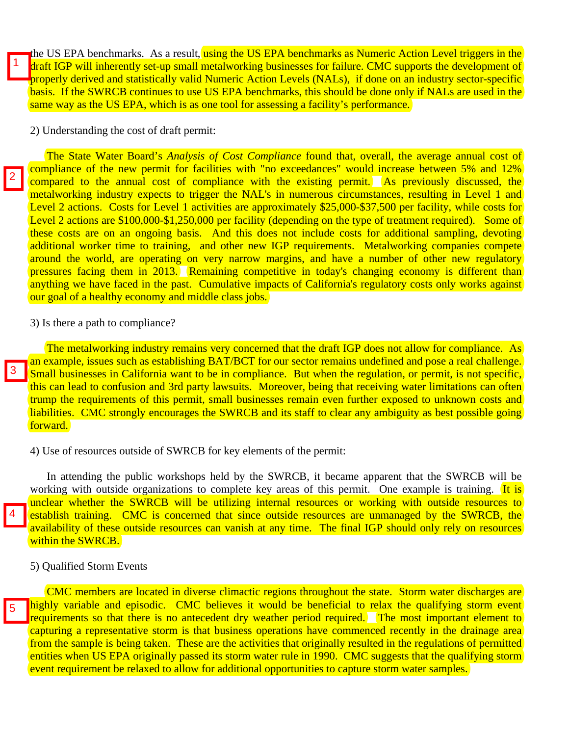the US EPA benchmarks. As a result, using the US EPA benchmarks as Numeric Action Level triggers in the draft IGP will inherently set-up small metalworking businesses for failure. CMC supports the development of properly derived and statistically valid Numeric Action Levels (NALs), if done on an industry sector-specific basis. If the SWRCB continues to use US EPA benchmarks, this should be done only if NALs are used in the same way as the US EPA, which is as one tool for assessing a facility's performance.

2) Understanding the cost of draft permit:

 The State Water Board's *Analysis of Cost Compliance* found that, overall, the average annual cost of compliance of the new permit for facilities with "no exceedances" would increase between 5% and 12% compared to the annual cost of compliance with the existing permit. As previously discussed, the metalworking industry expects to trigger the NAL's in numerous circumstances, resulting in Level 1 and Level 2 actions. Costs for Level 1 activities are approximately \$25,000-\$37,500 per facility, while costs for Level 2 actions are \$100,000-\$1,250,000 per facility (depending on the type of treatment required). Some of these costs are on an ongoing basis. And this does not include costs for additional sampling, devoting additional worker time to training, and other new IGP requirements. Metalworking companies compete around the world, are operating on very narrow margins, and have a number of other new regulatory pressures facing them in 2013. Remaining competitive in today's changing economy is different than anything we have faced in the past. Cumulative impacts of California's regulatory costs only works against our goal of a healthy economy and middle class jobs.

3) Is there a path to compliance?

The metalworking industry remains very concerned that the draft IGP does not allow for compliance. As an example, issues such as establishing BAT/BCT for our sector remains undefined and pose a real challenge. Small businesses in California want to be in compliance. But when the regulation, or permit, is not specific, this can lead to confusion and 3rd party lawsuits. Moreover, being that receiving water limitations can often trump the requirements of this permit, small businesses remain even further exposed to unknown costs and liabilities. CMC strongly encourages the SWRCB and its staff to clear any ambiguity as best possible going forward.

4) Use of resources outside of SWRCB for key elements of the permit:

 In attending the public workshops held by the SWRCB, it became apparent that the SWRCB will be working with outside organizations to complete key areas of this permit. One example is training. It is unclear whether the SWRCB will be utilizing internal resources or working with outside resources to establish training. CMC is concerned that since outside resources are unmanaged by the SWRCB, the availability of these outside resources can vanish at any time. The final IGP should only rely on resources within the SWRCB.

5) Qualified Storm Events

5

4

1

2

3

 CMC members are located in diverse climactic regions throughout the state. Storm water discharges are highly variable and episodic. CMC believes it would be beneficial to relax the qualifying storm event requirements so that there is no antecedent dry weather period required. The most important element to capturing a representative storm is that business operations have commenced recently in the drainage area from the sample is being taken. These are the activities that originally resulted in the regulations of permitted entities when US EPA originally passed its storm water rule in 1990. CMC suggests that the qualifying storm event requirement be relaxed to allow for additional opportunities to capture storm water samples.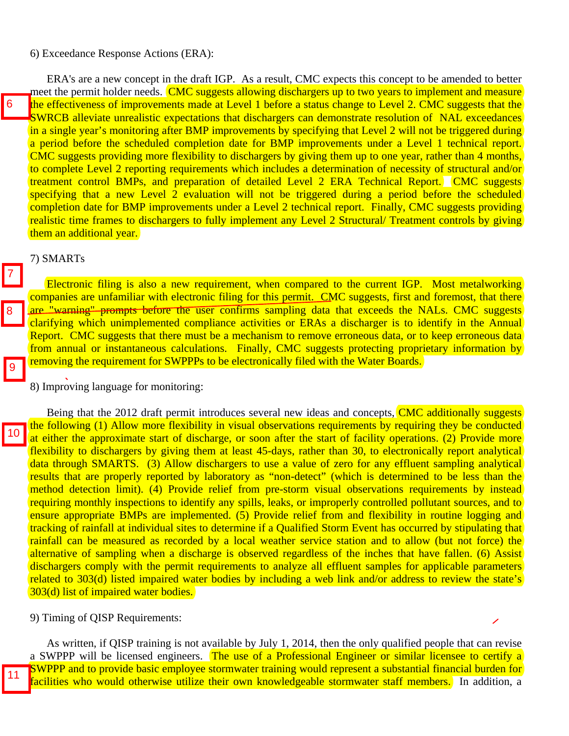## 6) Exceedance Response Actions (ERA):

7

8

9

 $|10$ 

 ERA's are a new concept in the draft IGP. As a result, CMC expects this concept to be amended to better meet the permit holder needs. CMC suggests allowing dischargers up to two years to implement and measure the effectiveness of improvements made at Level 1 before a status change to Level 2. CMC suggests that the SWRCB alleviate unrealistic expectations that dischargers can demonstrate resolution of NAL exceedances in a single year's monitoring after BMP improvements by specifying that Level 2 will not be triggered during a period before the scheduled completion date for BMP improvements under a Level 1 technical report. CMC suggests providing more flexibility to dischargers by giving them up to one year, rather than 4 months, to complete Level 2 reporting requirements which includes a determination of necessity of structural and/or treatment control BMPs, and preparation of detailed Level 2 ERA Technical Report. CMC suggests specifying that a new Level 2 evaluation will not be triggered during a period before the scheduled completion date for BMP improvements under a Level 2 technical report. Finally, CMC suggests providing realistic time frames to dischargers to fully implement any Level 2 Structural/ Treatment controls by giving them an additional year.

## 7) SMARTs

 Electronic filing is also a new requirement, when compared to the current IGP. Most metalworking companies are unfamiliar with electronic filing for this permit. CMC suggests, first and foremost, that there are "warning" prompts before the user confirms sampling data that exceeds the NALs. CMC suggests clarifying which unimplemented compliance activities or ERAs a discharger is to identify in the Annual Report. CMC suggests that there must be a mechanism to remove erroneous data, or to keep erroneous data from annual or instantaneous calculations. Finally, CMC suggests protecting proprietary information by removing the requirement for SWPPPs to be electronically filed with the Water Boards.

8) Improving language for monitoring:

Being that the 2012 draft permit introduces several new ideas and concepts, **CMC additionally suggests** the following (1) Allow more flexibility in visual observations requirements by requiring they be conducted at either the approximate start of discharge, or soon after the start of facility operations. (2) Provide more flexibility to dischargers by giving them at least 45-days, rather than 30, to electronically report analytical data through SMARTS. (3) Allow dischargers to use a value of zero for any effluent sampling analytical results that are properly reported by laboratory as "non-detect" (which is determined to be less than the method detection limit). (4) Provide relief from pre-storm visual observations requirements by instead requiring monthly inspections to identify any spills, leaks, or improperly controlled pollutant sources, and to ensure appropriate BMPs are implemented. (5) Provide relief from and flexibility in routine logging and tracking of rainfall at individual sites to determine if a Qualified Storm Event has occurred by stipulating that rainfall can be measured as recorded by a local weather service station and to allow (but not force) the alternative of sampling when a discharge is observed regardless of the inches that have fallen. (6) Assist dischargers comply with the permit requirements to analyze all effluent samples for applicable parameters related to 303(d) listed impaired water bodies by including a web link and/or address to review the state's 303(d) list of impaired water bodies.

9) Timing of QISP Requirements:

 As written, if QISP training is not available by July 1, 2014, then the only qualified people that can revise a SWPPP will be licensed engineers. The use of a Professional Engineer or similar licensee to certify a SWPPP and to provide basic employee stormwater training would represent a substantial financial burden for **facilities who would otherwise utilize their own knowledgeable stormwater staff members.** In addition, a

10<br>11<br>11